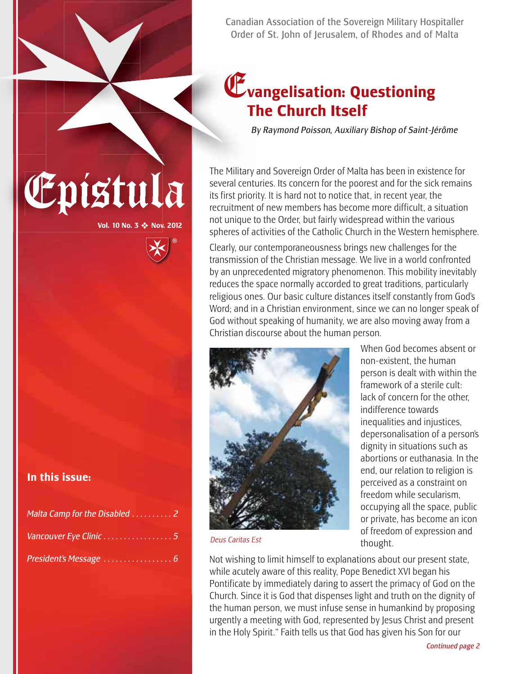Canadian Association of the Sovereign Military Hospitaller Order of St. John of Jerusalem, of Rhodes and of Malta

#### E**vangelisation: Questioning The Church Itself**

*By Raymond Poisson, Auxiliary Bishop of Saint-Jérôme*

The Military and Sovereign Order of Malta has been in existence for<br>several centuries. Its concern for the poorest and for the sick remain<br>its first priority. It is hard not to notice that, in recent year, the<br>magnitude of several centuries. Its concern for the poorest and for the sick remains its first priority. It is hard not to notice that, in recent year, the recruitment of new members has become more difficult, a situation not unique to the Order, but fairly widespread within the various spheres of activities of the Catholic Church in the Western hemisphere.

> Clearly, our contemporaneousness brings new challenges for the transmission of the Christian message. We live in a world confronted by an unprecedented migratory phenomenon. This mobility inevitably reduces the space normally accorded to great traditions, particularly religious ones. Our basic culture distances itself constantly from God's Word; and in a Christian environment, since we can no longer speak of God without speaking of humanity, we are also moving away from a Christian discourse about the human person.



non-existent, the human person is dealt with within the framework of a sterile cult: lack of concern for the other, indifference towards inequalities and injustices, depersonalisation of a person's dignity in situations such as abortions or euthanasia. In the end, our relation to religion is perceived as a constraint on freedom while secularism, occupying all the space, public or private, has become an icon of freedom of expression and thought.

When God becomes absent or

*Deus Caritas Est*

Not wishing to limit himself to explanations about our present state, while acutely aware of this reality, Pope Benedict XVI began his Pontificate by immediately daring to assert the primacy of God on the Church. Since it is God that dispenses light and truth on the dignity of the human person, we must infuse sense in humankind by proposing urgently a meeting with God, represented by Jesus Christ and present in the Holy Spirit." Faith tells us that God has given his Son for our

#### **In this issue:**

| Malta Camp for the Disabled 2 |  |
|-------------------------------|--|
|                               |  |
|                               |  |

**Vol. 10 No. 3** ❖ **Nov. 2012**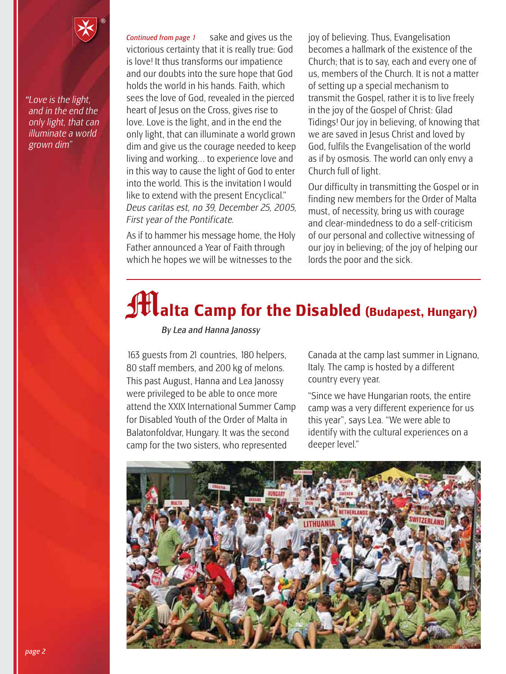*"Love is the light, and in the end the only light, that can illuminate a world grown dim"*

sake and gives us the victorious certainty that it is really true: God is love! It thus transforms our impatience and our doubts into the sure hope that God holds the world in his hands. Faith, which sees the love of God, revealed in the pierced heart of Jesus on the Cross, gives rise to love. Love is the light, and in the end the only light, that can illuminate a world grown dim and give us the courage needed to keep living and working... to experience love and in this way to cause the light of God to enter into the world. This is the invitation I would like to extend with the present Encyclical." *Deus caritas est, no 39, December 25, 2005, First year of the Pontificate. Continued from page 1*

As if to hammer his message home, the Holy Father announced a Year of Faith through which he hopes we will be witnesses to the

joy of believing. Thus, Evangelisation becomes a hallmark of the existence of the Church; that is to say, each and every one of us, members of the Church. It is not a matter of setting up a special mechanism to transmit the Gospel, rather it is to live freely in the joy of the Gospel of Christ: Glad Tidings! Our joy in believing, of knowing that we are saved in Jesus Christ and loved by God, fulfils the Evangelisation of the world as if by osmosis. The world can only envy a Church full of light.

Our difficulty in transmitting the Gospel or in finding new members for the Order of Malta must, of necessity, bring us with courage and clear-mindedness to do a self-criticism of our personal and collective witnessing of our joy in believing; of the joy of helping our lords the poor and the sick.

# $\int \mathbf{H}$  alta Camp for the Disabled (Budapest, Hungary)

*By Lea and Hanna Janossy*

163 guests from 21 countries, 180 helpers, 80 staff members, and 200 kg of melons. This past August, Hanna and Lea Janossy were privileged to be able to once more attend the XXIX International Summer Camp for Disabled Youth of the Order of Malta in Balatonfoldvar, Hungary. It was the second camp for the two sisters, who represented

Canada at the camp last summer in Lignano, Italy. The camp is hosted by a different country every year.

"Since we have Hungarian roots, the entire camp was a very different experience for us this year", says Lea. "We were able to identify with the cultural experiences on a deeper level."

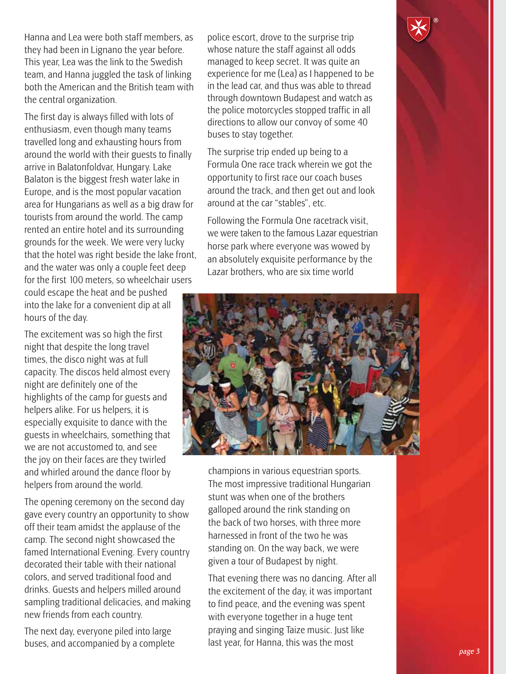Hanna and Lea were both staff members, as they had been in Lignano the year before. This year, Lea was the link to the Swedish team, and Hanna juggled the task of linking both the American and the British team with the central organization.

The first day is always filled with lots of enthusiasm, even though many teams travelled long and exhausting hours from around the world with their guests to finally arrive in Balatonfoldvar, Hungary. Lake Balaton is the biggest fresh water lake in Europe, and is the most popular vacation area for Hungarians as well as a big draw for tourists from around the world. The camp rented an entire hotel and its surrounding grounds for the week. We were very lucky that the hotel was right beside the lake front, and the water was only a couple feet deep for the first 100 meters, so wheelchair users

could escape the heat and be pushed into the lake for a convenient dip at all hours of the day.

The excitement was so high the first night that despite the long travel times, the disco night was at full capacity. The discos held almost every night are definitely one of the highlights of the camp for guests and helpers alike. For us helpers, it is especially exquisite to dance with the guests in wheelchairs, something that we are not accustomed to, and see the joy on their faces are they twirled and whirled around the dance floor by helpers from around the world.

The opening ceremony on the second day gave every country an opportunity to show off their team amidst the applause of the camp. The second night showcased the famed International Evening. Every country decorated their table with their national colors, and served traditional food and drinks. Guests and helpers milled around sampling traditional delicacies, and making new friends from each country.

The next day, everyone piled into large buses, and accompanied by a complete police escort, drove to the surprise trip whose nature the staff against all odds managed to keep secret. It was quite an experience for me (Lea) as I happened to be in the lead car, and thus was able to thread through downtown Budapest and watch as the police motorcycles stopped traffic in all directions to allow our convoy of some 40 buses to stay together.

The surprise trip ended up being to a Formula One race track wherein we got the opportunity to first race our coach buses around the track, and then get out and look around at the car "stables", etc.

Following the Formula One racetrack visit, we were taken to the famous Lazar equestrian horse park where everyone was wowed by an absolutely exquisite performance by the Lazar brothers, who are six time world



champions in various equestrian sports. The most impressive traditional Hungarian stunt was when one of the brothers galloped around the rink standing on the back of two horses, with three more harnessed in front of the two he was standing on. On the way back, we were given a tour of Budapest by night.

That evening there was no dancing. After all the excitement of the day, it was important to find peace, and the evening was spent with everyone together in a huge tent praying and singing Taize music. Just like last year, for Hanna, this was the most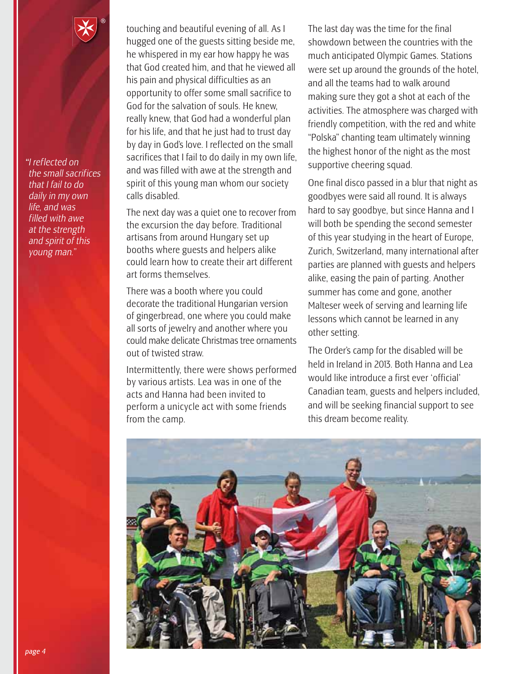*"I reflected on the small sacrifices that I fail to do daily in my own life, and was filled with awe at the strength and spirit of this young man."*

touching and beautiful evening of all. As I hugged one of the guests sitting beside me, he whispered in my ear how happy he was that God created him, and that he viewed all his pain and physical difficulties as an opportunity to offer some small sacrifice to God for the salvation of souls. He knew, really knew, that God had a wonderful plan for his life, and that he just had to trust day by day in God's love. I reflected on the small sacrifices that I fail to do daily in my own life, and was filled with awe at the strength and spirit of this young man whom our society calls disabled.

The next day was a quiet one to recover from the excursion the day before. Traditional artisans from around Hungary set up booths where guests and helpers alike could learn how to create their art different art forms themselves.

There was a booth where you could decorate the traditional Hungarian version of gingerbread, one where you could make all sorts of jewelry and another where you could make delicate Christmas tree ornaments out of twisted straw.

Intermittently, there were shows performed by various artists. Lea was in one of the acts and Hanna had been invited to perform a unicycle act with some friends from the camp.

The last day was the time for the final showdown between the countries with the much anticipated Olympic Games. Stations were set up around the grounds of the hotel, and all the teams had to walk around making sure they got a shot at each of the activities. The atmosphere was charged with friendly competition, with the red and white "Polska" chanting team ultimately winning the highest honor of the night as the most supportive cheering squad.

One final disco passed in a blur that night as goodbyes were said all round. It is always hard to say goodbye, but since Hanna and I will both be spending the second semester of this year studying in the heart of Europe, Zurich, Switzerland, many international after parties are planned with guests and helpers alike, easing the pain of parting. Another summer has come and gone, another Malteser week of serving and learning life lessons which cannot be learned in any other setting.

The Order's camp for the disabled will be held in Ireland in 2013. Both Hanna and Lea would like introduce a first ever 'official' Canadian team, guests and helpers included, and will be seeking financial support to see this dream become reality.

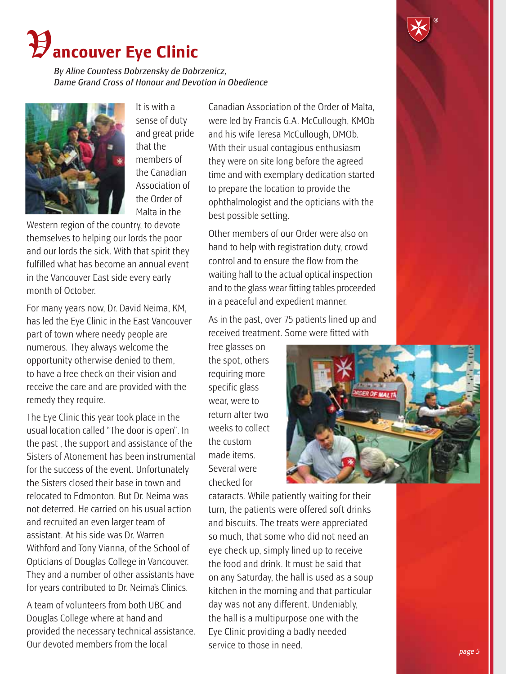## **ancouver Eye Clinic**

*By Aline Countess Dobrzensky de Dobrzenicz, Dame Grand Cross of Honour and Devotion in Obedience*



It is with a sense of duty and great pride that the members of the Canadian Association of the Order of Malta in the

Western region of the country, to devote themselves to helping our lords the poor and our lords the sick. With that spirit they fulfilled what has become an annual event in the Vancouver East side every early month of October.

For many years now, Dr. David Neima, KM, has led the Eye Clinic in the East Vancouver part of town where needy people are numerous. They always welcome the opportunity otherwise denied to them, to have a free check on their vision and receive the care and are provided with the remedy they require.

The Eye Clinic this year took place in the usual location called "The door is open". In the past , the support and assistance of the Sisters of Atonement has been instrumental for the success of the event. Unfortunately the Sisters closed their base in town and relocated to Edmonton. But Dr. Neima was not deterred. He carried on his usual action and recruited an even larger team of assistant. At his side was Dr. Warren Withford and Tony Vianna, of the School of Opticians of Douglas College in Vancouver. They and a number of other assistants have for years contributed to Dr. Neima's Clinics.

A team of volunteers from both UBC and Douglas College where at hand and provided the necessary technical assistance. Our devoted members from the local

Canadian Association of the Order of Malta, were led by Francis G.A. McCullough, KMOb and his wife Teresa McCullough, DMOb. With their usual contagious enthusiasm they were on site long before the agreed time and with exemplary dedication started to prepare the location to provide the ophthalmologist and the opticians with the best possible setting.

Other members of our Order were also on hand to help with registration duty, crowd control and to ensure the flow from the waiting hall to the actual optical inspection and to the glass wear fitting tables proceeded in a peaceful and expedient manner.

As in the past, over 75 patients lined up and received treatment. Some were fitted with

free glasses on the spot, others requiring more specific glass wear, were to return after two weeks to collect the custom made items. Several were checked for



cataracts. While patiently waiting for their turn, the patients were offered soft drinks and biscuits. The treats were appreciated so much, that some who did not need an eye check up, simply lined up to receive the food and drink. It must be said that on any Saturday, the hall is used as a soup kitchen in the morning and that particular day was not any different. Undeniably, the hall is a multipurpose one with the Eye Clinic providing a badly needed service to those in need.